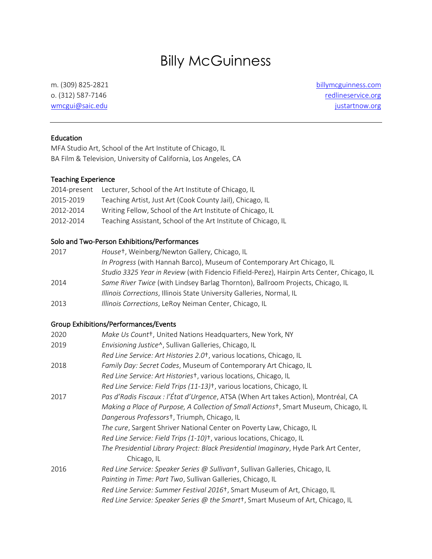# **Billy McGuinness**

m. (309) 825-2821 o. (312) 587-7146 wmcgui@saic.edu

billymcguinness.com redlineservice.org justartnow.org

### Education

MFA Studio Art, School of the Art Institute of Chicago, IL BA Film & Television, University of California, Los Angeles, CA

#### Teaching Experience

|           | 2014-present Lecturer, School of the Art Institute of Chicago, IL |
|-----------|-------------------------------------------------------------------|
| 2015-2019 | Teaching Artist, Just Art (Cook County Jail), Chicago, IL         |
| 2012-2014 | Writing Fellow, School of the Art Institute of Chicago, IL        |
| 2012-2014 | Teaching Assistant, School of the Art Institute of Chicago, IL    |

# Solo and Two-Person Exhibitions/Performances

| 2017 | Houset, Weinberg/Newton Gallery, Chicago, IL                                                                  |
|------|---------------------------------------------------------------------------------------------------------------|
|      | In Progress (with Hannah Barco), Museum of Contemporary Art Chicago, IL                                       |
|      | Studio 3325 Year in Review (with Fidencio Fifield-Perez), Hairpin Arts Center, Chicago, IL                    |
| 2014 | Same River Twice (with Lindsey Barlag Thornton), Ballroom Projects, Chicago, IL                               |
|      | Illinois Corrections, Illinois State University Galleries, Normal, IL                                         |
|      | rando de la contra de la contra de la contra de la contra de la contra de la contra de la contra de la contra |

2013 *Illinois Corrections*, LeRoy Neiman Center, Chicago, IL

#### Group Exhibitions/Performances/Events

| 2020 | Make Us Count+, United Nations Headquarters, New York, NY                                         |
|------|---------------------------------------------------------------------------------------------------|
| 2019 | Envisioning Justice^, Sullivan Galleries, Chicago, IL                                             |
|      | Red Line Service: Art Histories 2.0 <sup>t</sup> , various locations, Chicago, IL                 |
| 2018 | Family Day: Secret Codes, Museum of Contemporary Art Chicago, IL                                  |
|      | Red Line Service: Art Historiest, various locations, Chicago, IL                                  |
|      | Red Line Service: Field Trips (11-13) <sup>+</sup> , various locations, Chicago, IL               |
| 2017 | Pas d'Radis Fiscaux : l'État d'Urgence, ATSA (When Art takes Action), Montréal, CA                |
|      | Making a Place of Purpose, A Collection of Small Actions <sup>†</sup> , Smart Museum, Chicago, IL |
|      | Dangerous Professorst, Triumph, Chicago, IL                                                       |
|      | The cure, Sargent Shriver National Center on Poverty Law, Chicago, IL                             |
|      | Red Line Service: Field Trips (1-10) <sup>†</sup> , various locations, Chicago, IL                |
|      | The Presidential Library Project: Black Presidential Imaginary, Hyde Park Art Center,             |
|      | Chicago, IL                                                                                       |
| 2016 | Red Line Service: Speaker Series @ Sullivan <sup>t</sup> , Sullivan Galleries, Chicago, IL        |
|      | Painting in Time: Part Two, Sullivan Galleries, Chicago, IL                                       |
|      | Red Line Service: Summer Festival 2016 <sup>+</sup> , Smart Museum of Art, Chicago, IL            |
|      | Red Line Service: Speaker Series @ the Smart+, Smart Museum of Art, Chicago, IL                   |
|      |                                                                                                   |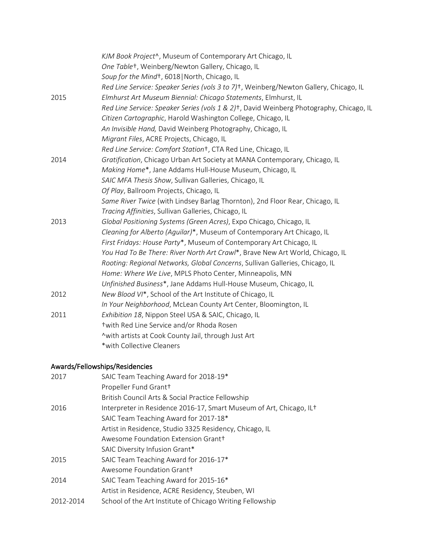|      | KJM Book Project^, Museum of Contemporary Art Chicago, IL                                            |
|------|------------------------------------------------------------------------------------------------------|
|      | One Tablet, Weinberg/Newton Gallery, Chicago, IL                                                     |
|      | Soup for the Mind <sup>+</sup> , 6018   North, Chicago, IL                                           |
|      | Red Line Service: Speaker Series (vols 3 to 7) <sup>†</sup> , Weinberg/Newton Gallery, Chicago, IL   |
| 2015 | Elmhurst Art Museum Biennial: Chicago Statements, Elmhurst, IL                                       |
|      | Red Line Service: Speaker Series (vols 1 & 2) <sup>+</sup> , David Weinberg Photography, Chicago, IL |
|      | Citizen Cartographic, Harold Washington College, Chicago, IL                                         |
|      | An Invisible Hand, David Weinberg Photography, Chicago, IL                                           |
|      | Migrant Files, ACRE Projects, Chicago, IL                                                            |
|      | Red Line Service: Comfort Station <sup>+</sup> , CTA Red Line, Chicago, IL                           |
| 2014 | Gratification, Chicago Urban Art Society at MANA Contemporary, Chicago, IL                           |
|      | Making Home*, Jane Addams Hull-House Museum, Chicago, IL                                             |
|      | SAIC MFA Thesis Show, Sullivan Galleries, Chicago, IL                                                |
|      | Of Play, Ballroom Projects, Chicago, IL                                                              |
|      | Same River Twice (with Lindsey Barlag Thornton), 2nd Floor Rear, Chicago, IL                         |
|      | Tracing Affinities, Sullivan Galleries, Chicago, IL                                                  |
| 2013 | Global Positioning Systems (Green Acres), Expo Chicago, Chicago, IL                                  |
|      | Cleaning for Alberto (Aguilar)*, Museum of Contemporary Art Chicago, IL                              |
|      | First Fridays: House Party*, Museum of Contemporary Art Chicago, IL                                  |
|      | You Had To Be There: River North Art Crawl*, Brave New Art World, Chicago, IL                        |
|      | Rooting: Regional Networks, Global Concerns, Sullivan Galleries, Chicago, IL                         |
|      | Home: Where We Live, MPLS Photo Center, Minneapolis, MN                                              |
|      | Unfinished Business*, Jane Addams Hull-House Museum, Chicago, IL                                     |
| 2012 | New Blood VI*, School of the Art Institute of Chicago, IL                                            |
|      | In Your Neighborhood, McLean County Art Center, Bloomington, IL                                      |
| 2011 | Exhibition 18, Nippon Steel USA & SAIC, Chicago, IL                                                  |
|      | twith Red Line Service and/or Rhoda Rosen                                                            |
|      | ^with artists at Cook County Jail, through Just Art                                                  |
|      | *with Collective Cleaners                                                                            |

# Awards/Fellowships/Residencies

| 2017      | SAIC Team Teaching Award for 2018-19*                                           |
|-----------|---------------------------------------------------------------------------------|
|           | Propeller Fund Grant+                                                           |
|           | British Council Arts & Social Practice Fellowship                               |
| 2016      | Interpreter in Residence 2016-17, Smart Museum of Art, Chicago, IL <sup>+</sup> |
|           | SAIC Team Teaching Award for 2017-18*                                           |
|           | Artist in Residence, Studio 3325 Residency, Chicago, IL                         |
|           | Awesome Foundation Extension Grantt                                             |
|           | SAIC Diversity Infusion Grant*                                                  |
| 2015      | SAIC Team Teaching Award for 2016-17*                                           |
|           | Awesome Foundation Grant+                                                       |
| 2014      | SAIC Team Teaching Award for 2015-16*                                           |
|           | Artist in Residence, ACRE Residency, Steuben, WI                                |
| 2012-2014 | School of the Art Institute of Chicago Writing Fellowship                       |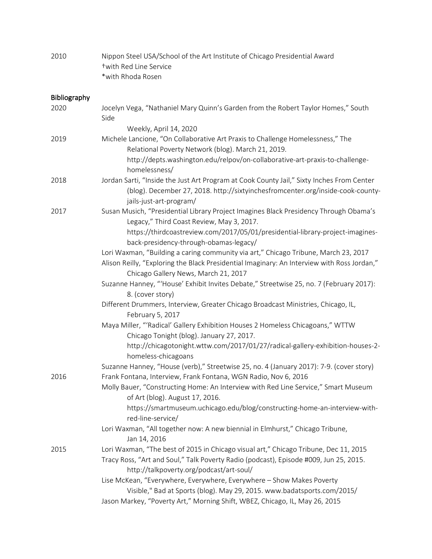| 2010         | Nippon Steel USA/School of the Art Institute of Chicago Presidential Award<br>twith Red Line Service                                                                                                    |
|--------------|---------------------------------------------------------------------------------------------------------------------------------------------------------------------------------------------------------|
|              | *with Rhoda Rosen                                                                                                                                                                                       |
| Bibliography |                                                                                                                                                                                                         |
| 2020         | Jocelyn Vega, "Nathaniel Mary Quinn's Garden from the Robert Taylor Homes," South<br>Side                                                                                                               |
|              | Weekly, April 14, 2020                                                                                                                                                                                  |
| 2019         | Michele Lancione, "On Collaborative Art Praxis to Challenge Homelessness," The<br>Relational Poverty Network (blog). March 21, 2019.                                                                    |
|              | http://depts.washington.edu/relpov/on-collaborative-art-praxis-to-challenge-<br>homelessness/                                                                                                           |
| 2018         | Jordan Sarti, "Inside the Just Art Program at Cook County Jail," Sixty Inches From Center<br>(blog). December 27, 2018. http://sixtyinchesfromcenter.org/inside-cook-county-<br>jails-just-art-program/ |
| 2017         | Susan Musich, "Presidential Library Project Imagines Black Presidency Through Obama's<br>Legacy," Third Coast Review, May 3, 2017.                                                                      |
|              | https://thirdcoastreview.com/2017/05/01/presidential-library-project-imagines-<br>back-presidency-through-obamas-legacy/                                                                                |
|              | Lori Waxman, "Building a caring community via art," Chicago Tribune, March 23, 2017                                                                                                                     |
|              | Alison Reilly, "Exploring the Black Presidential Imaginary: An Interview with Ross Jordan,"<br>Chicago Gallery News, March 21, 2017                                                                     |
|              | Suzanne Hanney, "'House' Exhibit Invites Debate," Streetwise 25, no. 7 (February 2017):<br>8. (cover story)                                                                                             |
|              | Different Drummers, Interview, Greater Chicago Broadcast Ministries, Chicago, IL,<br>February 5, 2017                                                                                                   |
|              | Maya Miller, "'Radical' Gallery Exhibition Houses 2 Homeless Chicagoans," WTTW<br>Chicago Tonight (blog). January 27, 2017.                                                                             |
|              | http://chicagotonight.wttw.com/2017/01/27/radical-gallery-exhibition-houses-2-<br>homeless-chicagoans                                                                                                   |
|              | Suzanne Hanney, "House (verb)," Streetwise 25, no. 4 (January 2017): 7-9. (cover story)                                                                                                                 |
| 2016         | Frank Fontana, Interview, Frank Fontana, WGN Radio, Nov 6, 2016                                                                                                                                         |
|              | Molly Bauer, "Constructing Home: An Interview with Red Line Service," Smart Museum<br>of Art (blog). August 17, 2016.                                                                                   |
|              | https://smartmuseum.uchicago.edu/blog/constructing-home-an-interview-with-<br>red-line-service/                                                                                                         |
|              | Lori Waxman, "All together now: A new biennial in Elmhurst," Chicago Tribune,<br>Jan 14, 2016                                                                                                           |
| 2015         | Lori Waxman, "The best of 2015 in Chicago visual art," Chicago Tribune, Dec 11, 2015                                                                                                                    |
|              | Tracy Ross, "Art and Soul," Talk Poverty Radio (podcast), Episode #009, Jun 25, 2015.<br>http://talkpoverty.org/podcast/art-soul/                                                                       |
|              | Lise McKean, "Everywhere, Everywhere, Everywhere - Show Makes Poverty                                                                                                                                   |
|              | Visible," Bad at Sports (blog). May 29, 2015. www.badatsports.com/2015/<br>Jason Markey, "Poverty Art," Morning Shift, WBEZ, Chicago, IL, May 26, 2015                                                  |